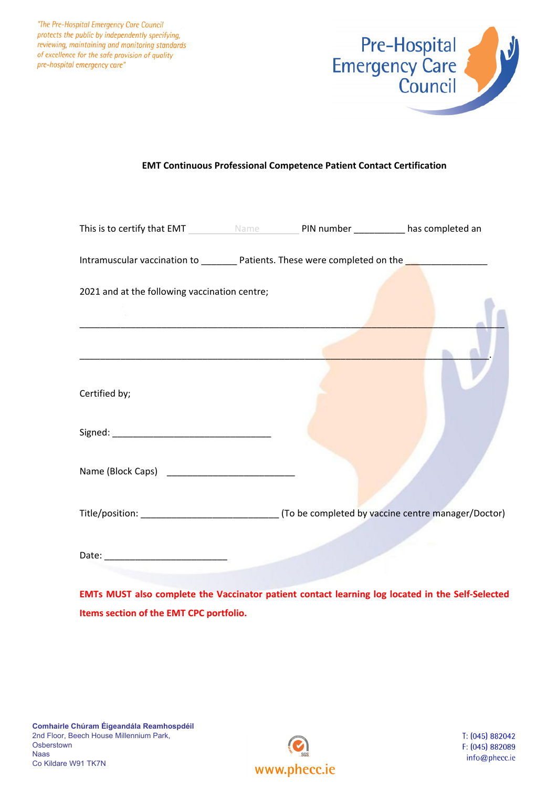"The Pre-Hospital Emergency Care Council protects the public by independently specifying, reviewing, maintaining and monitoring standards of excellence for the safe provision of quality pre-hospital emergency care"



## **EMT Continuous Professional Competence Patient Contact Certification**

| This is to certify that EMT Name Name PIN number _________ has completed an                    |  |  |
|------------------------------------------------------------------------------------------------|--|--|
| Intramuscular vaccination to _________ Patients. These were completed on the _________________ |  |  |
| 2021 and at the following vaccination centre;                                                  |  |  |
|                                                                                                |  |  |
|                                                                                                |  |  |
| Certified by;                                                                                  |  |  |
|                                                                                                |  |  |
|                                                                                                |  |  |
|                                                                                                |  |  |
|                                                                                                |  |  |

**EMTs MUST also complete the Vaccinator patient contact learning log located in the Self‐Selected Items section of the EMT CPC portfolio.**